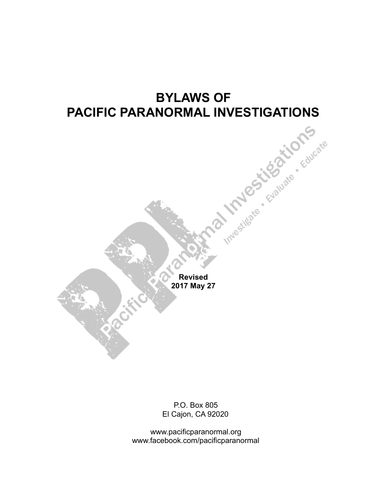# **BYLAWS OF NORMAL INVESTIGATIONS PACIFIC PARANORMAL INVESTIGATIONS**

**Revised 2017 May 27**

P.O. Box 805 El Cajon, CA 92020

www.pacificparanormal.org www.facebook.com/pacificparanormal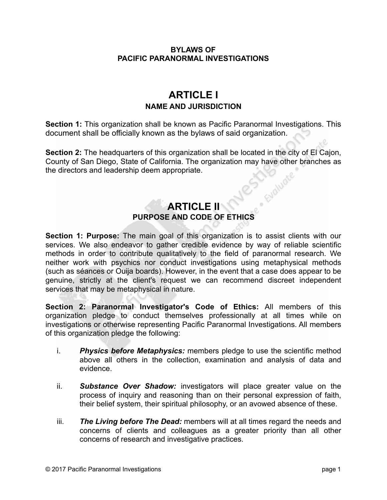#### **BYLAWS OF PACIFIC PARANORMAL INVESTIGATIONS**

# **ARTICLE I NAME AND JURISDICTION**

**Section 1:** This organization shall be known as Pacific Paranormal Investigations. This document shall be officially known as the bylaws of said organization.

**Section 2:** The headquarters of this organization shall be located in the city of El Cajon, County of San Diego, State of California. The organization may have other branches as<br>the directors and leadership deem appropriate. the directors and leadership deem appropriate.

## **ARTICLE II PURPOSE AND CODE OF ETHICS**

**Section 1: Purpose:** The main goal of this organization is to assist clients with our services. We also endeavor to gather credible evidence by way of reliable scientific methods in order to contribute qualitatively to the field of paranormal research. We neither work with psychics nor conduct investigations using metaphysical methods (such as séances or Ouija boards). However, in the event that a case does appear to be genuine, strictly at the client's request we can recommend discreet independent services that may be metaphysical in nature.

**Section 2: Paranormal Investigator's Code of Ethics:** All members of this organization pledge to conduct themselves professionally at all times while on investigations or otherwise representing Pacific Paranormal Investigations. All members of this organization pledge the following:

- i. *Physics before Metaphysics:* members pledge to use the scientific method above all others in the collection, examination and analysis of data and evidence.
- ii. *Substance Over Shadow:* investigators will place greater value on the process of inquiry and reasoning than on their personal expression of faith, their belief system, their spiritual philosophy, or an avowed absence of these.
- iii. *The Living before The Dead:* members will at all times regard the needs and concerns of clients and colleagues as a greater priority than all other concerns of research and investigative practices.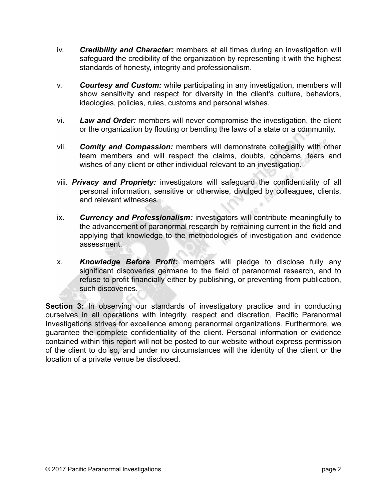- iv. *Credibility and Character:* members at all times during an investigation will safeguard the credibility of the organization by representing it with the highest standards of honesty, integrity and professionalism.
- v. *Courtesy and Custom:* while participating in any investigation, members will show sensitivity and respect for diversity in the client's culture, behaviors, ideologies, policies, rules, customs and personal wishes.
- vi. *Law and Order:* members will never compromise the investigation, the client or the organization by flouting or bending the laws of a state or a community.
- vii. *Comity and Compassion:* members will demonstrate collegiality with other team members and will respect the claims, doubts, concerns, fears and wishes of any client or other individual relevant to an investigation.
- viii. *Privacy and Propriety:* investigators will safeguard the confidentiality of all personal information, sensitive or otherwise, divulged by colleagues, clients, and relevant witnesses.
- ix. *Currency and Professionalism:* investigators will contribute meaningfully to the advancement of paranormal research by remaining current in the field and applying that knowledge to the methodologies of investigation and evidence assessment.
- x. *Knowledge Before Profit:* members will pledge to disclose fully any significant discoveries germane to the field of paranormal research, and to refuse to profit financially either by publishing, or preventing from publication, such discoveries.

**Section 3:** In observing our standards of investigatory practice and in conducting ourselves in all operations with integrity, respect and discretion, Pacific Paranormal Investigations strives for excellence among paranormal organizations. Furthermore, we guarantee the complete confidentiality of the client. Personal information or evidence contained within this report will not be posted to our website without express permission of the client to do so, and under no circumstances will the identity of the client or the location of a private venue be disclosed.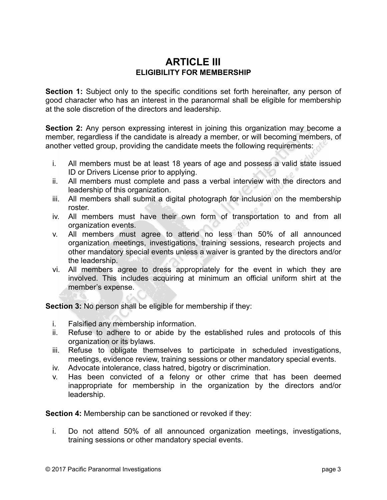#### **ARTICLE III ELIGIBILITY FOR MEMBERSHIP**

**Section 1:** Subject only to the specific conditions set forth hereinafter, any person of good character who has an interest in the paranormal shall be eligible for membership at the sole discretion of the directors and leadership.

**Section 2:** Any person expressing interest in joining this organization may become a member, regardless if the candidate is already a member, or will becoming members, of another vetted group, providing the candidate meets the following requirements:

- i. All members must be at least 18 years of age and possess a valid state issued ID or Drivers License prior to applying.
- ii. All members must complete and pass a verbal interview with the directors and leadership of this organization.
- iii. All members shall submit a digital photograph for inclusion on the membership roster.
- iv. All members must have their own form of transportation to and from all organization events.
- v. All members must agree to attend no less than 50% of all announced organization meetings, investigations, training sessions, research projects and other mandatory special events unless a waiver is granted by the directors and/or the leadership.
- vi. All members agree to dress appropriately for the event in which they are involved. This includes acquiring at minimum an official uniform shirt at the member's expense.

**Section 3:** No person shall be eligible for membership if they:

- i. Falsified any membership information.
- ii. Refuse to adhere to or abide by the established rules and protocols of this organization or its bylaws.
- iii. Refuse to obligate themselves to participate in scheduled investigations, meetings, evidence review, training sessions or other mandatory special events.
- iv. Advocate intolerance, class hatred, bigotry or discrimination.
- v. Has been convicted of a felony or other crime that has been deemed inappropriate for membership in the organization by the directors and/or leadership.

**Section 4:** Membership can be sanctioned or revoked if they:

i. Do not attend 50% of all announced organization meetings, investigations, training sessions or other mandatory special events.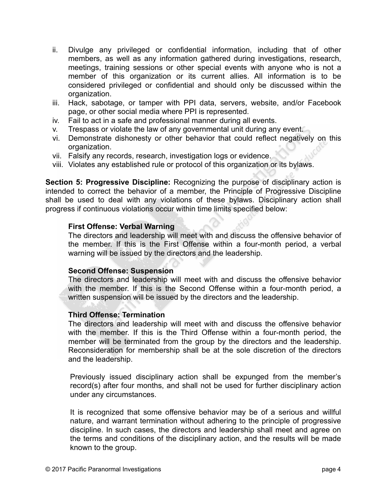- ii. Divulge any privileged or confidential information, including that of other members, as well as any information gathered during investigations, research, meetings, training sessions or other special events with anyone who is not a member of this organization or its current allies. All information is to be considered privileged or confidential and should only be discussed within the organization.
- iii. Hack, sabotage, or tamper with PPI data, servers, website, and/or Facebook page, or other social media where PPI is represented.
- iv. Fail to act in a safe and professional manner during all events.
- v. Trespass or violate the law of any governmental unit during any event.
- vi. Demonstrate dishonesty or other behavior that could reflect negatively on this organization.
- vii. Falsify any records, research, investigation logs or evidence.
- viii. Violates any established rule or protocol of this organization or its bylaws.

**Section 5: Progressive Discipline:** Recognizing the purpose of disciplinary action is intended to correct the behavior of a member, the Principle of Progressive Discipline shall be used to deal with any violations of these bylaws. Disciplinary action shall progress if continuous violations occur within time limits specified below:

#### **First Offense: Verbal Warning**

The directors and leadership will meet with and discuss the offensive behavior of the member. If this is the First Offense within a four-month period, a verbal warning will be issued by the directors and the leadership.

#### **Second Offense: Suspension**

The directors and leadership will meet with and discuss the offensive behavior with the member. If this is the Second Offense within a four-month period, a written suspension will be issued by the directors and the leadership.

#### **Third Offense: Termination**

The directors and leadership will meet with and discuss the offensive behavior with the member. If this is the Third Offense within a four-month period, the member will be terminated from the group by the directors and the leadership. Reconsideration for membership shall be at the sole discretion of the directors and the leadership.

Previously issued disciplinary action shall be expunged from the member's record(s) after four months, and shall not be used for further disciplinary action under any circumstances.

It is recognized that some offensive behavior may be of a serious and willful nature, and warrant termination without adhering to the principle of progressive discipline. In such cases, the directors and leadership shall meet and agree on the terms and conditions of the disciplinary action, and the results will be made known to the group.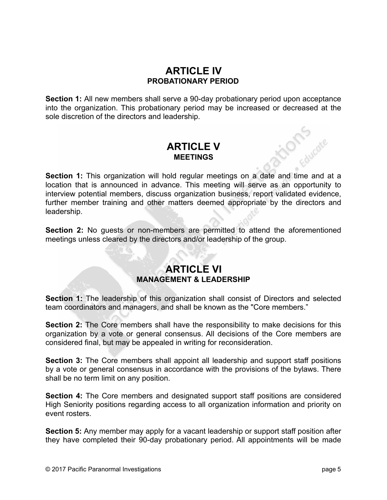## **ARTICLE IV PROBATIONARY PERIOD**

**Section 1:** All new members shall serve a 90-day probationary period upon acceptance into the organization. This probationary period may be increased or decreased at the sole discretion of the directors and leadership.

## **ARTICLE V MEETINGS**

Section 1: This organization will hold regular meetings on a date and time and at a location that is announced in advance. This meeting will serve as an opportunity to interview potential members, discuss organization business, report validated evidence, further member training and other matters deemed appropriate by the directors and leadership.

**Section 2:** No guests or non-members are permitted to attend the aforementioned meetings unless cleared by the directors and/or leadership of the group.

## **ARTICLE VI MANAGEMENT & LEADERSHIP**

**Section 1:** The leadership of this organization shall consist of Directors and selected team coordinators and managers, and shall be known as the "Core members."

**Section 2:** The Core members shall have the responsibility to make decisions for this organization by a vote or general consensus. All decisions of the Core members are considered final, but may be appealed in writing for reconsideration.

**Section 3:** The Core members shall appoint all leadership and support staff positions by a vote or general consensus in accordance with the provisions of the bylaws. There shall be no term limit on any position.

**Section 4:** The Core members and designated support staff positions are considered High Seniority positions regarding access to all organization information and priority on event rosters.

**Section 5:** Any member may apply for a vacant leadership or support staff position after they have completed their 90-day probationary period. All appointments will be made

Contracte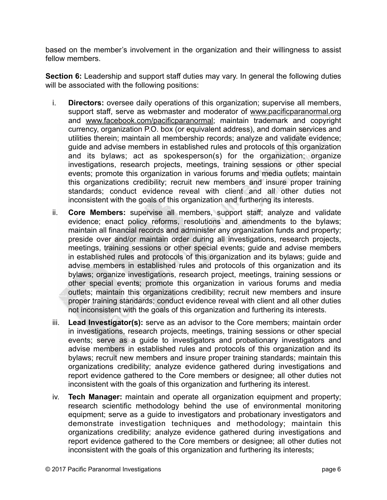based on the member's involvement in the organization and their willingness to assist fellow members.

**Section 6:** Leadership and support staff duties may vary. In general the following duties will be associated with the following positions:

- i. **Directors:** oversee daily operations of this organization; supervise all members, support staff, serve as webmaster and moderator of [www.pacificparanormal.org](http://www.pacificparanormal.org) and [www.facebook.com/pacificparanormal](http://www.facebook.com/pacificparanormal); maintain trademark and copyright currency, organization P.O. box (or equivalent address), and domain services and utilities therein; maintain all membership records; analyze and validate evidence; guide and advise members in established rules and protocols of this organization and its bylaws; act as spokesperson(s) for the organization; organize investigations, research projects, meetings, training sessions or other special events; promote this organization in various forums and media outlets; maintain this organizations credibility; recruit new members and insure proper training standards; conduct evidence reveal with client and all other duties not inconsistent with the goals of this organization and furthering its interests.
- ii. **Core Members:** supervise all members, support staff; analyze and validate evidence; enact policy reforms, resolutions and amendments to the bylaws; maintain all financial records and administer any organization funds and property; preside over and/or maintain order during all investigations, research projects, meetings, training sessions or other special events; guide and advise members in established rules and protocols of this organization and its bylaws; guide and advise members in established rules and protocols of this organization and its bylaws; organize investigations, research project, meetings, training sessions or other special events; promote this organization in various forums and media outlets; maintain this organizations credibility; recruit new members and insure proper training standards; conduct evidence reveal with client and all other duties not inconsistent with the goals of this organization and furthering its interests.
- iii. **Lead Investigator(s):** serve as an advisor to the Core members; maintain order in investigations, research projects, meetings, training sessions or other special events; serve as a guide to investigators and probationary investigators and advise members in established rules and protocols of this organization and its bylaws; recruit new members and insure proper training standards; maintain this organizations credibility; analyze evidence gathered during investigations and report evidence gathered to the Core members or designee; all other duties not inconsistent with the goals of this organization and furthering its interest.
- iv. **Tech Manager:** maintain and operate all organization equipment and property; research scientific methodology behind the use of environmental monitoring equipment; serve as a guide to investigators and probationary investigators and demonstrate investigation techniques and methodology; maintain this organizations credibility; analyze evidence gathered during investigations and report evidence gathered to the Core members or designee; all other duties not inconsistent with the goals of this organization and furthering its interests;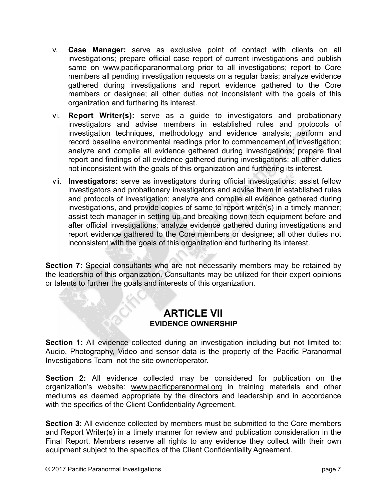- v. **Case Manager:** serve as exclusive point of contact with clients on all investigations; prepare official case report of current investigations and publish same on [www.pacificparanormal.org](http://www.pacificparanormal.org) prior to all investigations; report to Core members all pending investigation requests on a regular basis; analyze evidence gathered during investigations and report evidence gathered to the Core members or designee; all other duties not inconsistent with the goals of this organization and furthering its interest.
- vi. **Report Writer(s):** serve as a guide to investigators and probationary investigators and advise members in established rules and protocols of investigation techniques, methodology and evidence analysis; perform and record baseline environmental readings prior to commencement of investigation; analyze and compile all evidence gathered during investigations; prepare final report and findings of all evidence gathered during investigations; all other duties not inconsistent with the goals of this organization and furthering its interest.
- vii. **Investigators:** serve as investigators during official investigations; assist fellow investigators and probationary investigators and advise them in established rules and protocols of investigation; analyze and compile all evidence gathered during investigations, and provide copies of same to report writer(s) in a timely manner; assist tech manager in setting up and breaking down tech equipment before and after official investigations; analyze evidence gathered during investigations and report evidence gathered to the Core members or designee; all other duties not inconsistent with the goals of this organization and furthering its interest.

**Section 7:** Special consultants who are not necessarily members may be retained by the leadership of this organization. Consultants may be utilized for their expert opinions or talents to further the goals and interests of this organization.

#### **ARTICLE VII EVIDENCE OWNERSHIP**

Section 1: All evidence collected during an investigation including but not limited to: Audio, Photography, Video and sensor data is the property of the Pacific Paranormal Investigations Team–not the site owner/operator.

**Section 2:** All evidence collected may be considered for publication on the organization's website: [www.pacificparanormal.org](http://www.pacificparanormal.org) in training materials and other mediums as deemed appropriate by the directors and leadership and in accordance with the specifics of the Client Confidentiality Agreement.

**Section 3:** All evidence collected by members must be submitted to the Core members and Report Writer(s) in a timely manner for review and publication consideration in the Final Report. Members reserve all rights to any evidence they collect with their own equipment subject to the specifics of the Client Confidentiality Agreement.